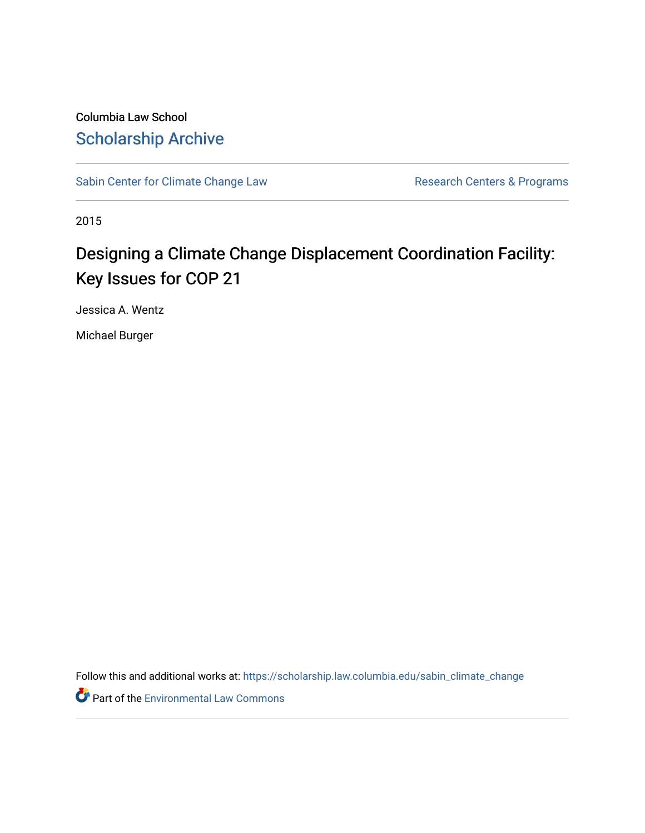Columbia Law School [Scholarship Archive](https://scholarship.law.columbia.edu/) 

[Sabin Center for Climate Change Law](https://scholarship.law.columbia.edu/sabin_climate_change) Research Centers & Programs

2015

## Designing a Climate Change Displacement Coordination Facility: Key Issues for COP 21

Jessica A. Wentz

Michael Burger

Follow this and additional works at: [https://scholarship.law.columbia.edu/sabin\\_climate\\_change](https://scholarship.law.columbia.edu/sabin_climate_change?utm_source=scholarship.law.columbia.edu%2Fsabin_climate_change%2F123&utm_medium=PDF&utm_campaign=PDFCoverPages) 

**Part of the [Environmental Law Commons](http://network.bepress.com/hgg/discipline/599?utm_source=scholarship.law.columbia.edu%2Fsabin_climate_change%2F123&utm_medium=PDF&utm_campaign=PDFCoverPages)**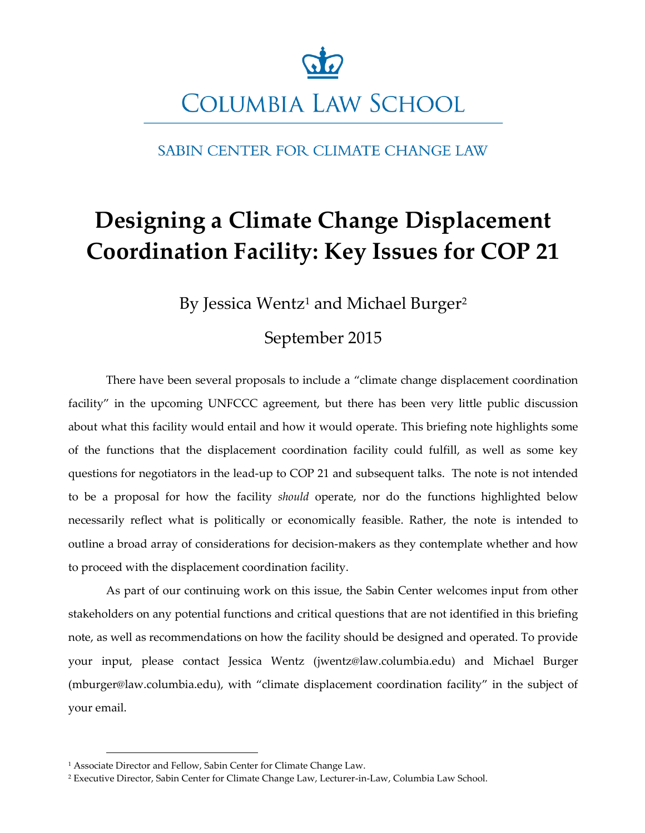

SABIN CENTER FOR CLIMATE CHANGE LAW

# **Designing a Climate Change Displacement Coordination Facility: Key Issues for COP 21**

By Jessica Wentz<sup>1</sup> and Michael Burger<sup>2</sup>

## September 2015

There have been several proposals to include a "climate change displacement coordination facility" in the upcoming UNFCCC agreement, but there has been very little public discussion about what this facility would entail and how it would operate. This briefing note highlights some of the functions that the displacement coordination facility could fulfill, as well as some key questions for negotiators in the lead-up to COP 21 and subsequent talks. The note is not intended to be a proposal for how the facility *should* operate, nor do the functions highlighted below necessarily reflect what is politically or economically feasible. Rather, the note is intended to outline a broad array of considerations for decision-makers as they contemplate whether and how to proceed with the displacement coordination facility.

As part of our continuing work on this issue, the Sabin Center welcomes input from other stakeholders on any potential functions and critical questions that are not identified in this briefing note, as well as recommendations on how the facility should be designed and operated. To provide your input, please contact Jessica Wentz (jwentz@law.columbia.edu) and Michael Burger (mburger@law.columbia.edu), with "climate displacement coordination facility" in the subject of your email.

<sup>&</sup>lt;sup>1</sup> Associate Director and Fellow, Sabin Center for Climate Change Law.

<sup>2</sup> Executive Director, Sabin Center for Climate Change Law, Lecturer-in-Law, Columbia Law School.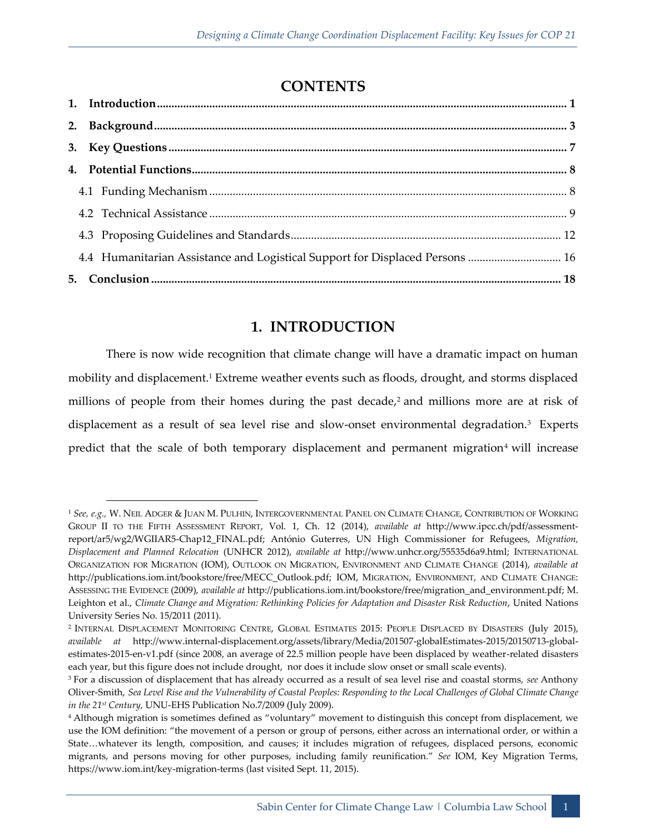## **CONTENTS**

| 4.4 Humanitarian Assistance and Logistical Support for Displaced Persons  16 |
|------------------------------------------------------------------------------|

## **1. INTRODUCTION**

<span id="page-2-0"></span>There is now wide recognition that climate change will have a dramatic impact on human mobility and displacement.<sup>1</sup> Extreme weather events such as floods, drought, and storms displaced millions of people from their homes during the past decade, $\lambda^2$  and millions more are at risk of displacement as a result of sea level rise and slow-onset environmental degradation.<sup>3</sup> Experts predict that the scale of both temporary displacement and permanent migration<sup>4</sup> will increase

-

<sup>1</sup> *See, e.g.,* W. NEIL ADGER & JUAN M. PULHIN, INTERGOVERNMENTAL PANEL ON CLIMATE CHANGE, CONTRIBUTION OF WORKING GROUP II TO THE FIFTH ASSESSMENT REPORT, Vol. 1, Ch. 12 (2014), *available at* http://www.ipcc.ch/pdf/assessmentreport/ar5/wg2/WGIIAR5-Chap12\_FINAL.pdf; António Guterres, UN High Commissioner for Refugees, *Migration, Displacement and Planned Relocation* (UNHCR 2012), *available at* http://www.unhcr.org/55535d6a9.html; INTERNATIONAL ORGANIZATION FOR MIGRATION (IOM), OUTLOOK ON MIGRATION, ENVIRONMENT AND CLIMATE CHANGE (2014), *available at*  http://publications.iom.int/bookstore/free/MECC\_Outlook.pdf; IOM, MIGRATION, ENVIRONMENT, AND CLIMATE CHANGE: ASSESSING THE EVIDENCE (2009), *available at* http://publications.iom.int/bookstore/free/migration\_and\_environment.pdf; M. Leighton et al., *Climate Change and Migration: Rethinking Policies for Adaptation and Disaster Risk Reduction*, United Nations University Series No. 15/2011 (2011).

<sup>2</sup> INTERNAL DISPLACEMENT MONITORING CENTRE, GLOBAL ESTIMATES 2015: PEOPLE DISPLACED BY DISASTERS (July 2015), *available at* http://www.internal-displacement.org/assets/library/Media/201507-globalEstimates-2015/20150713-globalestimates-2015-en-v1.pdf (since 2008, an average of 22.5 million people have been displaced by weather-related disasters each year, but this figure does not include drought, nor does it include slow onset or small scale events).

<sup>3</sup> For a discussion of displacement that has already occurred as a result of sea level rise and coastal storms, *see* Anthony Oliver-Smith, *Sea Level Rise and the Vulnerability of Coastal Peoples: Responding to the Local Challenges of Global Climate Change in the 21st Century,* UNU-EHS Publication No.7/2009 (July 2009).

<sup>4</sup> Although migration is sometimes defined as "voluntary" movement to distinguish this concept from displacement, we use the IOM definition: "the movement of a person or group of persons, either across an international order, or within a State…whatever its length, composition, and causes; it includes migration of refugees, displaced persons, economic migrants, and persons moving for other purposes, including family reunification." *See* IOM, Key Migration Terms, https://www.iom.int/key-migration-terms (last visited Sept. 11, 2015).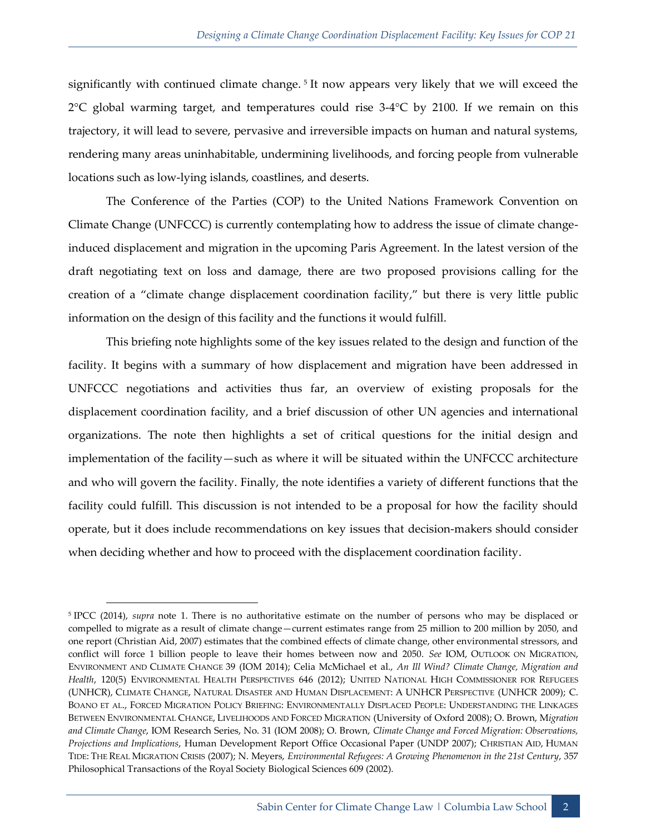significantly with continued climate change. <sup>5</sup> It now appears very likely that we will exceed the  $2^{\circ}$ C global warming target, and temperatures could rise 3-4 $^{\circ}$ C by 2100. If we remain on this trajectory, it will lead to severe, pervasive and irreversible impacts on human and natural systems, rendering many areas uninhabitable, undermining livelihoods, and forcing people from vulnerable locations such as low-lying islands, coastlines, and deserts.

The Conference of the Parties (COP) to the United Nations Framework Convention on Climate Change (UNFCCC) is currently contemplating how to address the issue of climate changeinduced displacement and migration in the upcoming Paris Agreement. In the latest version of the draft negotiating text on loss and damage, there are two proposed provisions calling for the creation of a "climate change displacement coordination facility," but there is very little public information on the design of this facility and the functions it would fulfill.

This briefing note highlights some of the key issues related to the design and function of the facility. It begins with a summary of how displacement and migration have been addressed in UNFCCC negotiations and activities thus far, an overview of existing proposals for the displacement coordination facility, and a brief discussion of other UN agencies and international organizations. The note then highlights a set of critical questions for the initial design and implementation of the facility—such as where it will be situated within the UNFCCC architecture and who will govern the facility. Finally, the note identifies a variety of different functions that the facility could fulfill. This discussion is not intended to be a proposal for how the facility should operate, but it does include recommendations on key issues that decision-makers should consider when deciding whether and how to proceed with the displacement coordination facility.

<sup>5</sup> IPCC (2014), *supra* note 1. There is no authoritative estimate on the number of persons who may be displaced or compelled to migrate as a result of climate change—current estimates range from 25 million to 200 million by 2050, and one report (Christian Aid, 2007) estimates that the combined effects of climate change, other environmental stressors, and conflict will force 1 billion people to leave their homes between now and 2050. *See* IOM, OUTLOOK ON MIGRATION, ENVIRONMENT AND CLIMATE CHANGE 39 (IOM 2014); Celia McMichael et al., *An Ill Wind? Climate Change, Migration and Health*, 120(5) ENVIRONMENTAL HEALTH PERSPECTIVES 646 (2012); UNITED NATIONAL HIGH COMMISSIONER FOR REFUGEES (UNHCR), CLIMATE CHANGE, NATURAL DISASTER AND HUMAN DISPLACEMENT: A UNHCR PERSPECTIVE (UNHCR 2009); C. BOANO ET AL., FORCED MIGRATION POLICY BRIEFING: ENVIRONMENTALLY DISPLACED PEOPLE: UNDERSTANDING THE LINKAGES BETWEEN ENVIRONMENTAL CHANGE, LIVELIHOODS AND FORCED MIGRATION (University of Oxford 2008); O. Brown, M*igration and Climate Change*, IOM Research Series, No. 31 (IOM 2008); O. Brown, *Climate Change and Forced Migration: Observations, Projections and Implications*, Human Development Report Office Occasional Paper (UNDP 2007); CHRISTIAN AID, HUMAN TIDE: THE REAL MIGRATION CRISIS (2007); N. Meyers, *Environmental Refugees: A Growing Phenomenon in the 21st Century*, 357 Philosophical Transactions of the Royal Society Biological Sciences 609 (2002).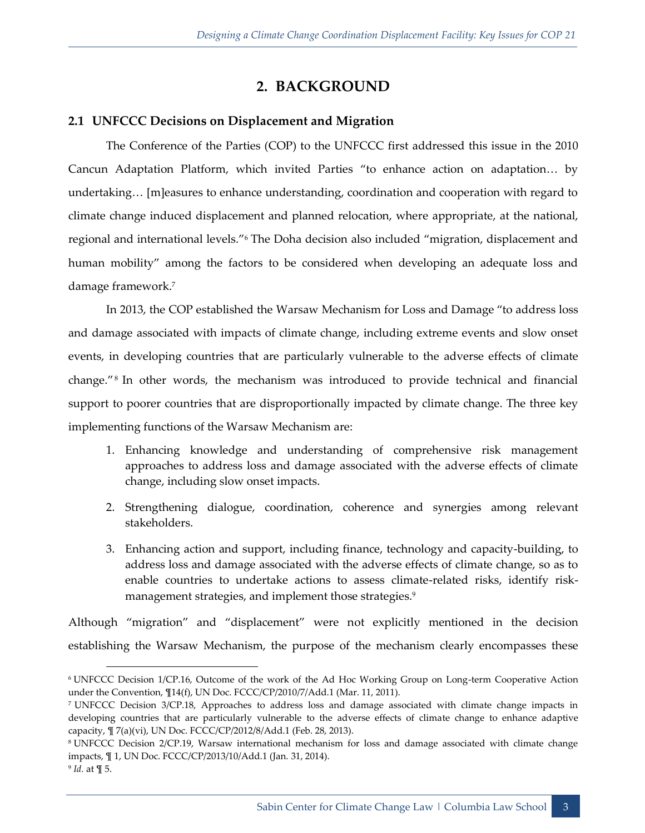### **2. BACKGROUND**

#### <span id="page-4-0"></span>**2.1 UNFCCC Decisions on Displacement and Migration**

The Conference of the Parties (COP) to the UNFCCC first addressed this issue in the 2010 Cancun Adaptation Platform, which invited Parties "to enhance action on adaptation… by undertaking… [m]easures to enhance understanding, coordination and cooperation with regard to climate change induced displacement and planned relocation, where appropriate, at the national, regional and international levels."<sup>6</sup> The Doha decision also included "migration, displacement and human mobility" among the factors to be considered when developing an adequate loss and damage framework.<sup>7</sup>

In 2013, the COP established the Warsaw Mechanism for Loss and Damage "to address loss and damage associated with impacts of climate change, including extreme events and slow onset events, in developing countries that are particularly vulnerable to the adverse effects of climate change."<sup>8</sup> In other words, the mechanism was introduced to provide technical and financial support to poorer countries that are disproportionally impacted by climate change. The three key implementing functions of the Warsaw Mechanism are:

- 1. Enhancing knowledge and understanding of comprehensive risk management approaches to address loss and damage associated with the adverse effects of climate change, including slow onset impacts.
- 2. Strengthening dialogue, coordination, coherence and synergies among relevant stakeholders.
- 3. Enhancing action and support, including finance, technology and capacity-building, to address loss and damage associated with the adverse effects of climate change, so as to enable countries to undertake actions to assess climate-related risks, identify riskmanagement strategies, and implement those strategies.<sup>9</sup>

Although "migration" and "displacement" were not explicitly mentioned in the decision establishing the Warsaw Mechanism, the purpose of the mechanism clearly encompasses these

 <sup>6</sup> UNFCCC Decision 1/CP.16, Outcome of the work of the Ad Hoc Working Group on Long-term Cooperative Action under the Convention, ¶14(f), UN Doc. FCCC/CP/2010/7/Add.1 (Mar. 11, 2011).

<sup>7</sup> UNFCCC Decision 3/CP.18, Approaches to address loss and damage associated with climate change impacts in developing countries that are particularly vulnerable to the adverse effects of climate change to enhance adaptive capacity, ¶ 7(a)(vi), UN Doc. FCCC/CP/2012/8/Add.1 (Feb. 28, 2013).

<sup>8</sup> UNFCCC Decision 2/CP.19, Warsaw international mechanism for loss and damage associated with climate change impacts, ¶ 1, UN Doc. FCCC/CP/2013/10/Add.1 (Jan. 31, 2014).

<sup>9</sup> *Id.* at ¶ 5.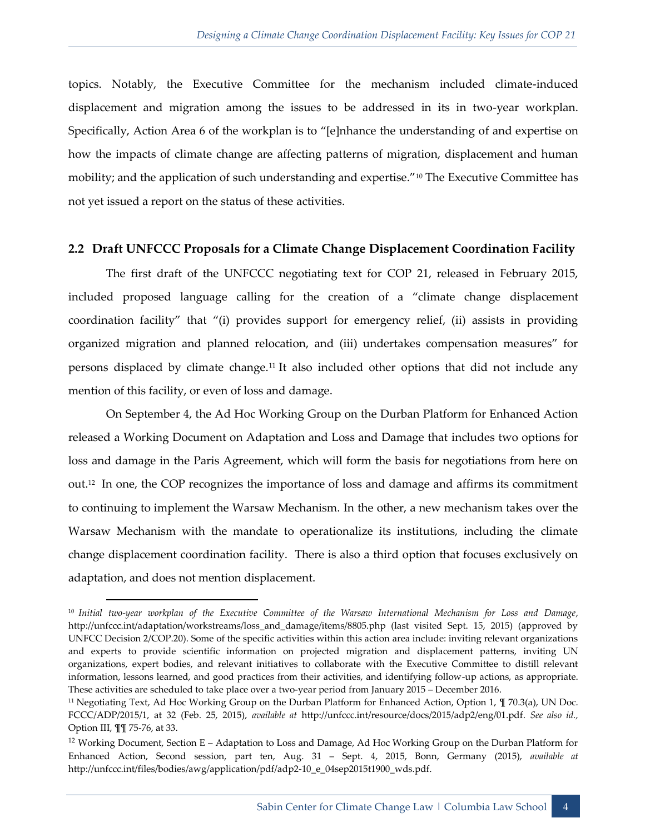topics. Notably, the Executive Committee for the mechanism included climate-induced displacement and migration among the issues to be addressed in its in two-year workplan. Specifically, Action Area 6 of the workplan is to "[e]nhance the understanding of and expertise on how the impacts of climate change are affecting patterns of migration, displacement and human mobility; and the application of such understanding and expertise."<sup>10</sup> The Executive Committee has not yet issued a report on the status of these activities.

#### **2.2 Draft UNFCCC Proposals for a Climate Change Displacement Coordination Facility**

The first draft of the UNFCCC negotiating text for COP 21, released in February 2015, included proposed language calling for the creation of a "climate change displacement coordination facility" that "(i) provides support for emergency relief, (ii) assists in providing organized migration and planned relocation, and (iii) undertakes compensation measures" for persons displaced by climate change.<sup>11</sup> It also included other options that did not include any mention of this facility, or even of loss and damage.

On September 4, the Ad Hoc Working Group on the Durban Platform for Enhanced Action released a Working Document on Adaptation and Loss and Damage that includes two options for loss and damage in the Paris Agreement, which will form the basis for negotiations from here on out.<sup>12</sup> In one, the COP recognizes the importance of loss and damage and affirms its commitment to continuing to implement the Warsaw Mechanism. In the other, a new mechanism takes over the Warsaw Mechanism with the mandate to operationalize its institutions, including the climate change displacement coordination facility. There is also a third option that focuses exclusively on adaptation, and does not mention displacement.

-

<sup>10</sup> *Initial two-year workplan of the Executive Committee of the Warsaw International Mechanism for Loss and Damage*, http://unfccc.int/adaptation/workstreams/loss\_and\_damage/items/8805.php (last visited Sept. 15, 2015) (approved by UNFCC Decision 2/COP.20). Some of the specific activities within this action area include: inviting relevant organizations and experts to provide scientific information on projected migration and displacement patterns, inviting UN organizations, expert bodies, and relevant initiatives to collaborate with the Executive Committee to distill relevant information, lessons learned, and good practices from their activities, and identifying follow-up actions, as appropriate. These activities are scheduled to take place over a two-year period from January 2015 – December 2016.

<sup>11</sup> Negotiating Text, Ad Hoc Working Group on the Durban Platform for Enhanced Action, Option 1, ¶ 70.3(a), UN Doc. FCCC/ADP/2015/1, at 32 (Feb. 25, 2015), *available at* http://unfccc.int/resource/docs/2015/adp2/eng/01.pdf. *See also id.,*  Option III, ¶¶ 75-76, at 33.

<sup>12</sup> Working Document, Section E – Adaptation to Loss and Damage, Ad Hoc Working Group on the Durban Platform for Enhanced Action, Second session, part ten, Aug. 31 – Sept. 4, 2015, Bonn, Germany (2015), *available at* http://unfccc.int/files/bodies/awg/application/pdf/adp2-10\_e\_04sep2015t1900\_wds.pdf.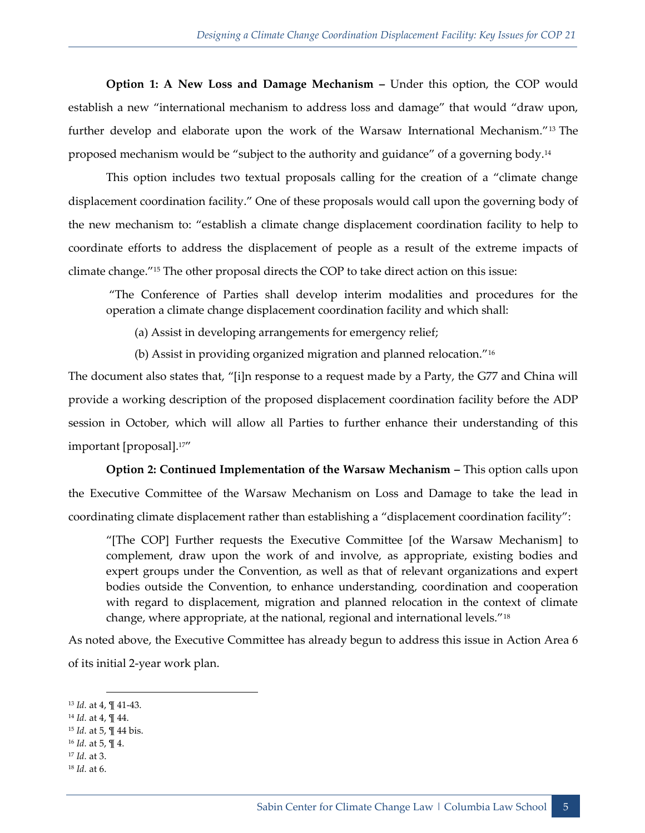**Option 1: A New Loss and Damage Mechanism –** Under this option, the COP would establish a new "international mechanism to address loss and damage" that would "draw upon, further develop and elaborate upon the work of the Warsaw International Mechanism."<sup>13</sup> The proposed mechanism would be "subject to the authority and guidance" of a governing body.<sup>14</sup>

This option includes two textual proposals calling for the creation of a "climate change displacement coordination facility." One of these proposals would call upon the governing body of the new mechanism to: "establish a climate change displacement coordination facility to help to coordinate efforts to address the displacement of people as a result of the extreme impacts of climate change."<sup>15</sup> The other proposal directs the COP to take direct action on this issue:

"The Conference of Parties shall develop interim modalities and procedures for the operation a climate change displacement coordination facility and which shall:

(a) Assist in developing arrangements for emergency relief;

(b) Assist in providing organized migration and planned relocation."<sup>16</sup>

The document also states that, "[i]n response to a request made by a Party, the G77 and China will provide a working description of the proposed displacement coordination facility before the ADP session in October, which will allow all Parties to further enhance their understanding of this important [proposal].17"

**Option 2: Continued Implementation of the Warsaw Mechanism –** This option calls upon the Executive Committee of the Warsaw Mechanism on Loss and Damage to take the lead in coordinating climate displacement rather than establishing a "displacement coordination facility":

"[The COP] Further requests the Executive Committee [of the Warsaw Mechanism] to complement, draw upon the work of and involve, as appropriate, existing bodies and expert groups under the Convention, as well as that of relevant organizations and expert bodies outside the Convention, to enhance understanding, coordination and cooperation with regard to displacement, migration and planned relocation in the context of climate change, where appropriate, at the national, regional and international levels."<sup>18</sup>

As noted above, the Executive Committee has already begun to address this issue in Action Area 6 of its initial 2-year work plan.

- <sup>15</sup> *Id.* at 5, ¶ 44 bis.
- <sup>16</sup> *Id.* at 5, ¶ 4.
- <sup>17</sup> *Id.* at 3.
- <sup>18</sup> *Id.* at 6.

<sup>-</sup><sup>13</sup> *Id.* at 4, ¶ 41-43.

<sup>14</sup> *Id.* at 4, ¶ 44.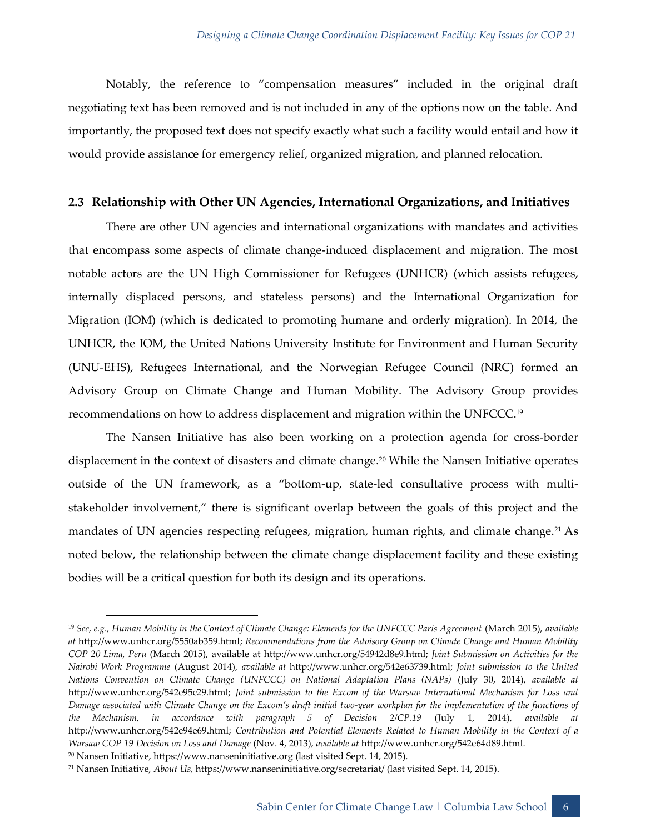Notably, the reference to "compensation measures" included in the original draft negotiating text has been removed and is not included in any of the options now on the table. And importantly, the proposed text does not specify exactly what such a facility would entail and how it would provide assistance for emergency relief, organized migration, and planned relocation.

#### **2.3 Relationship with Other UN Agencies, International Organizations, and Initiatives**

There are other UN agencies and international organizations with mandates and activities that encompass some aspects of climate change-induced displacement and migration. The most notable actors are the UN High Commissioner for Refugees (UNHCR) (which assists refugees, internally displaced persons, and stateless persons) and the International Organization for Migration (IOM) (which is dedicated to promoting humane and orderly migration). In 2014, the UNHCR, the IOM, the United Nations University Institute for Environment and Human Security (UNU-EHS), Refugees International, and the Norwegian Refugee Council (NRC) formed an Advisory Group on Climate Change and Human Mobility. The Advisory Group provides recommendations on how to address displacement and migration within the UNFCCC. 19

The Nansen Initiative has also been working on a protection agenda for cross-border displacement in the context of disasters and climate change.<sup>20</sup> While the Nansen Initiative operates outside of the UN framework, as a "bottom-up, state-led consultative process with multistakeholder involvement," there is significant overlap between the goals of this project and the mandates of UN agencies respecting refugees, migration, human rights, and climate change.<sup>21</sup> As noted below, the relationship between the climate change displacement facility and these existing bodies will be a critical question for both its design and its operations.

-

<sup>19</sup> *See, e.g., Human Mobility in the Context of Climate Change: Elements for the UNFCCC Paris Agreement* (March 2015), *available at* http://www.unhcr.org/5550ab359.html; *Recommendations from the Advisory Group on Climate Change and Human Mobility COP 20 Lima, Peru* (March 2015), available at http://www.unhcr.org/54942d8e9.html; *Joint Submission on Activities for the Nairobi Work Programme* (August 2014), *available at* http://www.unhcr.org/542e63739.html; *Joint submission to the United Nations Convention on Climate Change (UNFCCC) on National Adaptation Plans (NAPs)* (July 30, 2014), *available at*  http://www.unhcr.org/542e95c29.html; *Joint submission to the Excom of the Warsaw International Mechanism for Loss and Damage associated with Climate Change on the Excom's draft initial two-year workplan for the implementation of the functions of the Mechanism, in accordance with paragraph 5 of Decision 2/CP.19* (July 1, 2014), *available at*  http://www.unhcr.org/542e94e69.html; *Contribution and Potential Elements Related to Human Mobility in the Context of a Warsaw COP 19 Decision on Loss and Damage* (Nov. 4, 2013), *available at* http://www.unhcr.org/542e64d89.html.

<sup>20</sup> Nansen Initiative, https://www.nanseninitiative.org (last visited Sept. 14, 2015).

<sup>21</sup> Nansen Initiative, *About Us,* https://www.nanseninitiative.org/secretariat/ (last visited Sept. 14, 2015).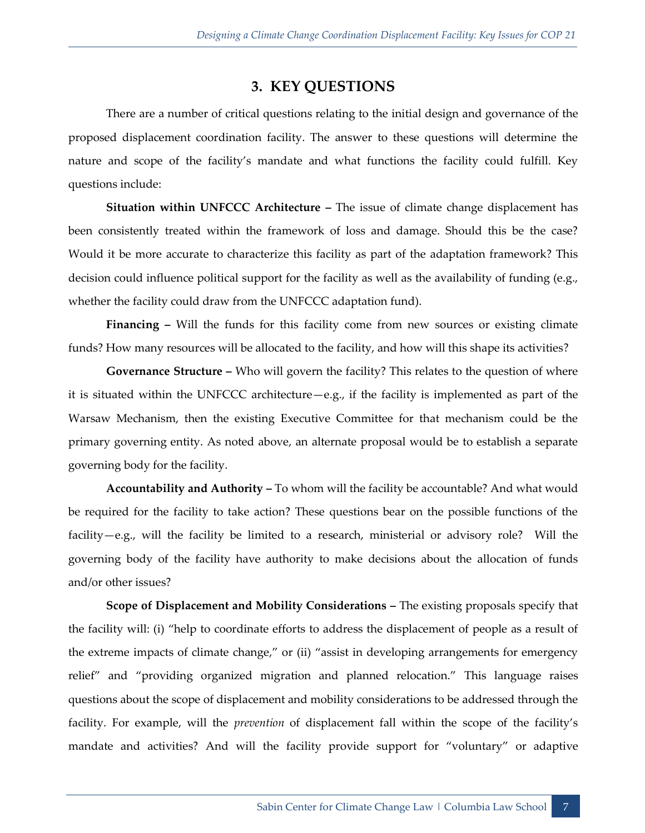#### **3. KEY QUESTIONS**

<span id="page-8-0"></span>There are a number of critical questions relating to the initial design and governance of the proposed displacement coordination facility. The answer to these questions will determine the nature and scope of the facility's mandate and what functions the facility could fulfill. Key questions include:

**Situation within UNFCCC Architecture –** The issue of climate change displacement has been consistently treated within the framework of loss and damage. Should this be the case? Would it be more accurate to characterize this facility as part of the adaptation framework? This decision could influence political support for the facility as well as the availability of funding (e.g., whether the facility could draw from the UNFCCC adaptation fund).

**Financing –** Will the funds for this facility come from new sources or existing climate funds? How many resources will be allocated to the facility, and how will this shape its activities?

**Governance Structure –** Who will govern the facility? This relates to the question of where it is situated within the UNFCCC architecture—e.g., if the facility is implemented as part of the Warsaw Mechanism, then the existing Executive Committee for that mechanism could be the primary governing entity. As noted above, an alternate proposal would be to establish a separate governing body for the facility.

**Accountability and Authority –** To whom will the facility be accountable? And what would be required for the facility to take action? These questions bear on the possible functions of the facility—e.g., will the facility be limited to a research, ministerial or advisory role? Will the governing body of the facility have authority to make decisions about the allocation of funds and/or other issues?

**Scope of Displacement and Mobility Considerations –** The existing proposals specify that the facility will: (i) "help to coordinate efforts to address the displacement of people as a result of the extreme impacts of climate change," or (ii) "assist in developing arrangements for emergency relief" and "providing organized migration and planned relocation." This language raises questions about the scope of displacement and mobility considerations to be addressed through the facility. For example, will the *prevention* of displacement fall within the scope of the facility's mandate and activities? And will the facility provide support for "voluntary" or adaptive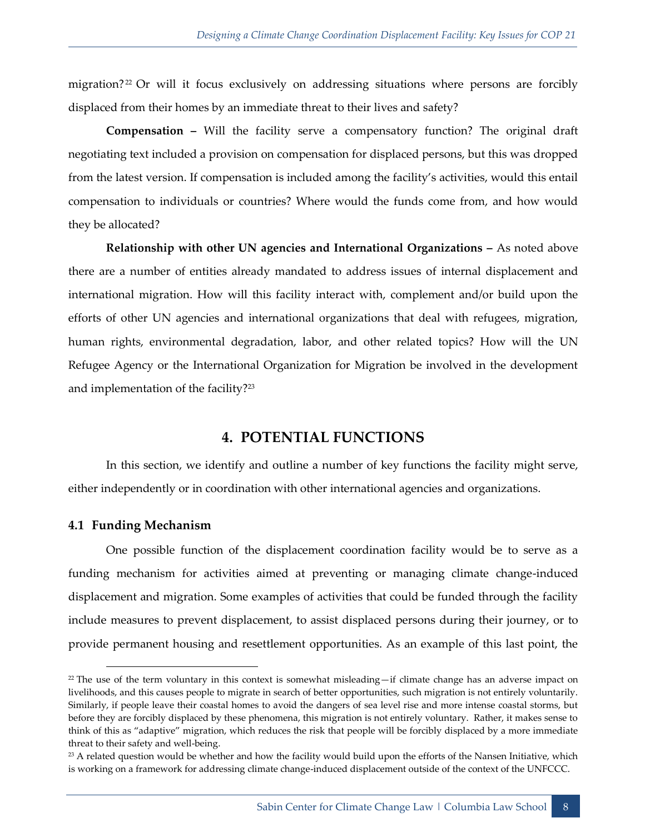migration? <sup>22</sup> Or will it focus exclusively on addressing situations where persons are forcibly displaced from their homes by an immediate threat to their lives and safety?

**Compensation –** Will the facility serve a compensatory function? The original draft negotiating text included a provision on compensation for displaced persons, but this was dropped from the latest version. If compensation is included among the facility's activities, would this entail compensation to individuals or countries? Where would the funds come from, and how would they be allocated?

**Relationship with other UN agencies and International Organizations –** As noted above there are a number of entities already mandated to address issues of internal displacement and international migration. How will this facility interact with, complement and/or build upon the efforts of other UN agencies and international organizations that deal with refugees, migration, human rights, environmental degradation, labor, and other related topics? How will the UN Refugee Agency or the International Organization for Migration be involved in the development and implementation of the facility?<sup>23</sup>

#### **4. POTENTIAL FUNCTIONS**

<span id="page-9-0"></span>In this section, we identify and outline a number of key functions the facility might serve, either independently or in coordination with other international agencies and organizations.

#### <span id="page-9-1"></span>**4.1 Funding Mechanism**

One possible function of the displacement coordination facility would be to serve as a funding mechanism for activities aimed at preventing or managing climate change-induced displacement and migration. Some examples of activities that could be funded through the facility include measures to prevent displacement, to assist displaced persons during their journey, or to provide permanent housing and resettlement opportunities. As an example of this last point, the

 $^{22}$  The use of the term voluntary in this context is somewhat misleading—if climate change has an adverse impact on livelihoods, and this causes people to migrate in search of better opportunities, such migration is not entirely voluntarily. Similarly, if people leave their coastal homes to avoid the dangers of sea level rise and more intense coastal storms, but before they are forcibly displaced by these phenomena, this migration is not entirely voluntary. Rather, it makes sense to think of this as "adaptive" migration, which reduces the risk that people will be forcibly displaced by a more immediate threat to their safety and well-being.

 $23$  A related question would be whether and how the facility would build upon the efforts of the Nansen Initiative, which is working on a framework for addressing climate change-induced displacement outside of the context of the UNFCCC.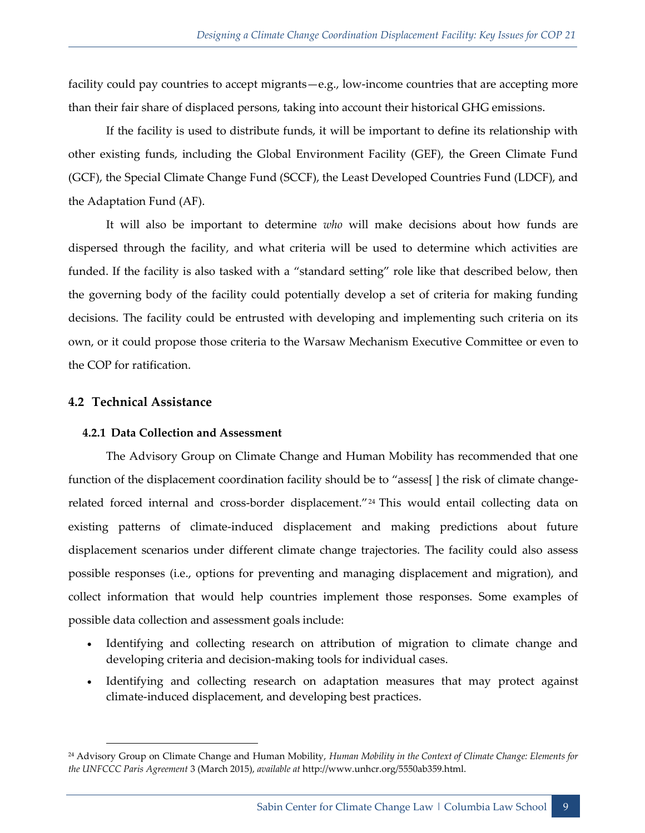facility could pay countries to accept migrants—e.g., low-income countries that are accepting more than their fair share of displaced persons, taking into account their historical GHG emissions.

If the facility is used to distribute funds, it will be important to define its relationship with other existing funds, including the Global Environment Facility (GEF), the Green Climate Fund (GCF), the Special Climate Change Fund (SCCF), the Least Developed Countries Fund (LDCF), and the Adaptation Fund (AF).

It will also be important to determine *who* will make decisions about how funds are dispersed through the facility, and what criteria will be used to determine which activities are funded. If the facility is also tasked with a "standard setting" role like that described below, then the governing body of the facility could potentially develop a set of criteria for making funding decisions. The facility could be entrusted with developing and implementing such criteria on its own, or it could propose those criteria to the Warsaw Mechanism Executive Committee or even to the COP for ratification.

#### <span id="page-10-0"></span>**4.2 Technical Assistance**

#### **4.2.1 Data Collection and Assessment**

The Advisory Group on Climate Change and Human Mobility has recommended that one function of the displacement coordination facility should be to "assess[ ] the risk of climate changerelated forced internal and cross-border displacement."<sup>24</sup> This would entail collecting data on existing patterns of climate-induced displacement and making predictions about future displacement scenarios under different climate change trajectories. The facility could also assess possible responses (i.e., options for preventing and managing displacement and migration), and collect information that would help countries implement those responses. Some examples of possible data collection and assessment goals include:

- Identifying and collecting research on attribution of migration to climate change and developing criteria and decision-making tools for individual cases.
- Identifying and collecting research on adaptation measures that may protect against climate-induced displacement, and developing best practices.

<sup>24</sup> Advisory Group on Climate Change and Human Mobility, *Human Mobility in the Context of Climate Change: Elements for the UNFCCC Paris Agreement* 3 (March 2015), *available at* http://www.unhcr.org/5550ab359.html.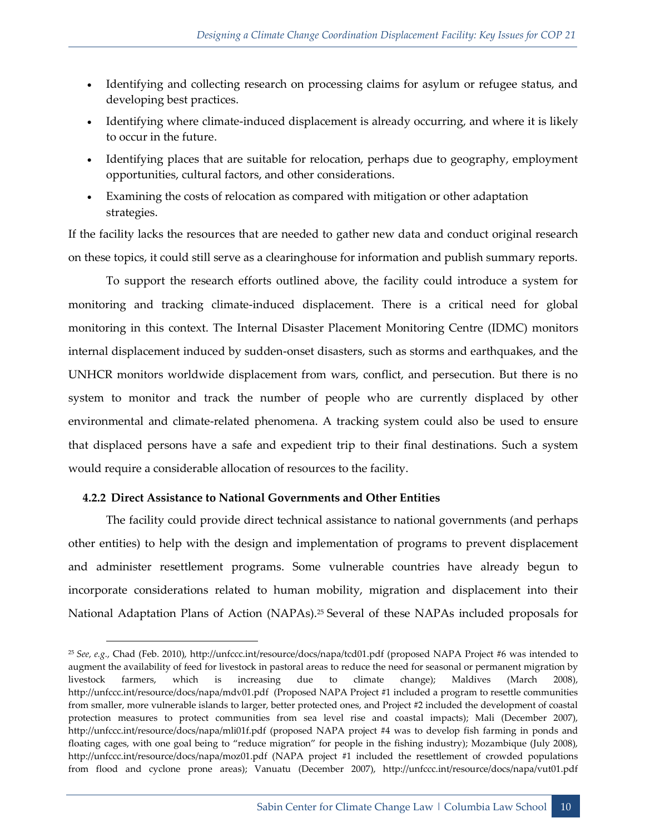- Identifying and collecting research on processing claims for asylum or refugee status, and developing best practices.
- Identifying where climate-induced displacement is already occurring, and where it is likely to occur in the future.
- Identifying places that are suitable for relocation, perhaps due to geography, employment opportunities, cultural factors, and other considerations.
- Examining the costs of relocation as compared with mitigation or other adaptation strategies.

If the facility lacks the resources that are needed to gather new data and conduct original research on these topics, it could still serve as a clearinghouse for information and publish summary reports.

To support the research efforts outlined above, the facility could introduce a system for monitoring and tracking climate-induced displacement. There is a critical need for global monitoring in this context. The Internal Disaster Placement Monitoring Centre (IDMC) monitors internal displacement induced by sudden-onset disasters, such as storms and earthquakes, and the UNHCR monitors worldwide displacement from wars, conflict, and persecution. But there is no system to monitor and track the number of people who are currently displaced by other environmental and climate-related phenomena. A tracking system could also be used to ensure that displaced persons have a safe and expedient trip to their final destinations. Such a system would require a considerable allocation of resources to the facility.

#### **4.2.2 Direct Assistance to National Governments and Other Entities**

The facility could provide direct technical assistance to national governments (and perhaps other entities) to help with the design and implementation of programs to prevent displacement and administer resettlement programs. Some vulnerable countries have already begun to incorporate considerations related to human mobility, migration and displacement into their National Adaptation Plans of Action (NAPAs).<sup>25</sup> Several of these NAPAs included proposals for

<sup>25</sup> *See, e.g.,* Chad (Feb. 2010), http://unfccc.int/resource/docs/napa/tcd01.pdf (proposed NAPA Project #6 was intended to augment the availability of feed for livestock in pastoral areas to reduce the need for seasonal or permanent migration by livestock farmers, which is increasing due to climate change); Maldives (March 2008), http://unfccc.int/resource/docs/napa/mdv01.pdf (Proposed NAPA Project #1 included a program to resettle communities from smaller, more vulnerable islands to larger, better protected ones, and Project #2 included the development of coastal protection measures to protect communities from sea level rise and coastal impacts); Mali (December 2007), http://unfccc.int/resource/docs/napa/mli01f.pdf (proposed NAPA project #4 was to develop fish farming in ponds and floating cages, with one goal being to "reduce migration" for people in the fishing industry); Mozambique (July 2008), http://unfccc.int/resource/docs/napa/moz01.pdf (NAPA project #1 included the resettlement of crowded populations from flood and cyclone prone areas); Vanuatu (December 2007), http://unfccc.int/resource/docs/napa/vut01.pdf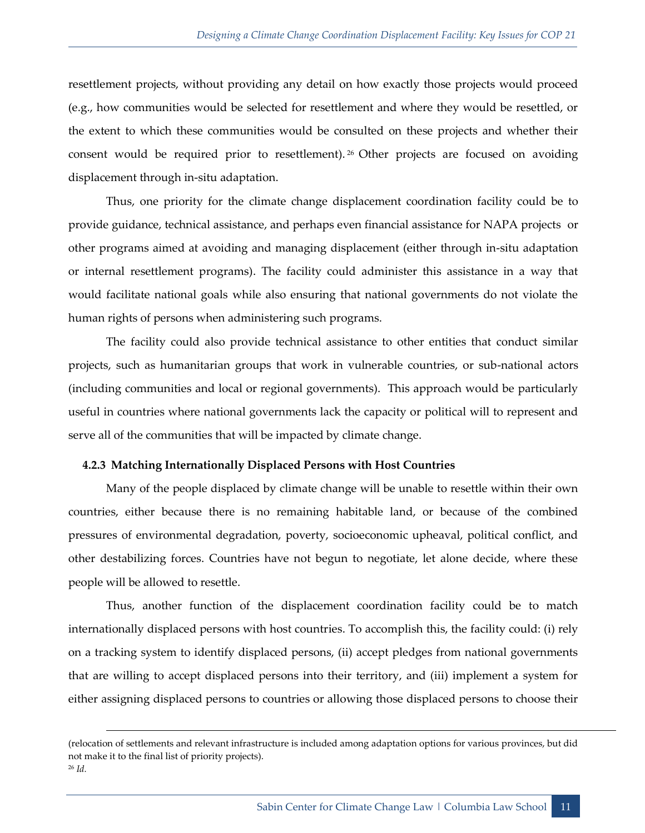resettlement projects, without providing any detail on how exactly those projects would proceed (e.g., how communities would be selected for resettlement and where they would be resettled, or the extent to which these communities would be consulted on these projects and whether their consent would be required prior to resettlement). <sup>26</sup> Other projects are focused on avoiding displacement through in-situ adaptation.

Thus, one priority for the climate change displacement coordination facility could be to provide guidance, technical assistance, and perhaps even financial assistance for NAPA projects or other programs aimed at avoiding and managing displacement (either through in-situ adaptation or internal resettlement programs). The facility could administer this assistance in a way that would facilitate national goals while also ensuring that national governments do not violate the human rights of persons when administering such programs.

The facility could also provide technical assistance to other entities that conduct similar projects, such as humanitarian groups that work in vulnerable countries, or sub-national actors (including communities and local or regional governments). This approach would be particularly useful in countries where national governments lack the capacity or political will to represent and serve all of the communities that will be impacted by climate change.

#### **4.2.3 Matching Internationally Displaced Persons with Host Countries**

-

Many of the people displaced by climate change will be unable to resettle within their own countries, either because there is no remaining habitable land, or because of the combined pressures of environmental degradation, poverty, socioeconomic upheaval, political conflict, and other destabilizing forces. Countries have not begun to negotiate, let alone decide, where these people will be allowed to resettle.

Thus, another function of the displacement coordination facility could be to match internationally displaced persons with host countries. To accomplish this, the facility could: (i) rely on a tracking system to identify displaced persons, (ii) accept pledges from national governments that are willing to accept displaced persons into their territory, and (iii) implement a system for either assigning displaced persons to countries or allowing those displaced persons to choose their

<sup>(</sup>relocation of settlements and relevant infrastructure is included among adaptation options for various provinces, but did not make it to the final list of priority projects). <sup>26</sup> *Id.*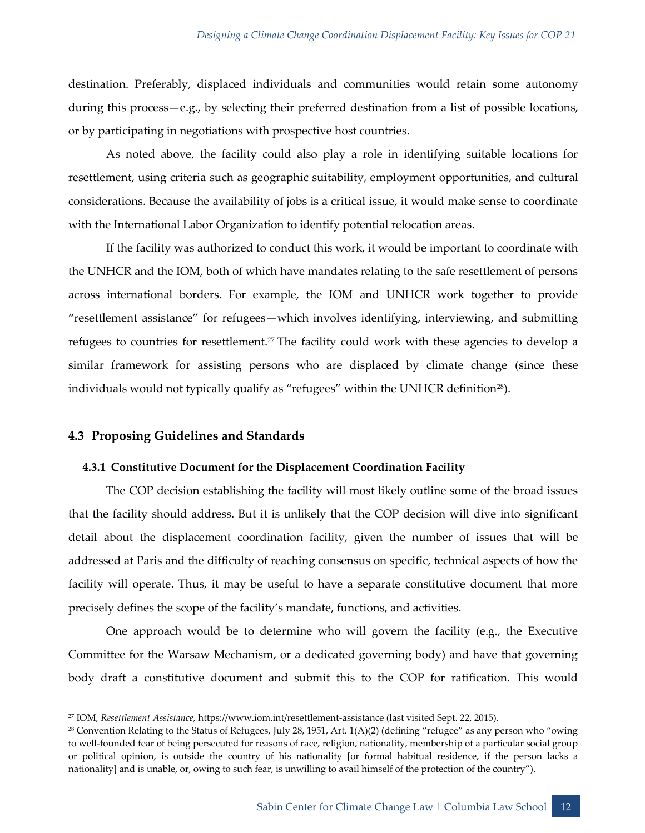destination. Preferably, displaced individuals and communities would retain some autonomy during this process—e.g., by selecting their preferred destination from a list of possible locations, or by participating in negotiations with prospective host countries.

As noted above, the facility could also play a role in identifying suitable locations for resettlement, using criteria such as geographic suitability, employment opportunities, and cultural considerations. Because the availability of jobs is a critical issue, it would make sense to coordinate with the International Labor Organization to identify potential relocation areas.

If the facility was authorized to conduct this work, it would be important to coordinate with the UNHCR and the IOM, both of which have mandates relating to the safe resettlement of persons across international borders. For example, the IOM and UNHCR work together to provide "resettlement assistance" for refugees—which involves identifying, interviewing, and submitting refugees to countries for resettlement.<sup>27</sup> The facility could work with these agencies to develop a similar framework for assisting persons who are displaced by climate change (since these individuals would not typically qualify as "refugees" within the UNHCR definition<sup>28</sup>).

#### <span id="page-13-0"></span>**4.3 Proposing Guidelines and Standards**

#### **4.3.1 Constitutive Document for the Displacement Coordination Facility**

The COP decision establishing the facility will most likely outline some of the broad issues that the facility should address. But it is unlikely that the COP decision will dive into significant detail about the displacement coordination facility, given the number of issues that will be addressed at Paris and the difficulty of reaching consensus on specific, technical aspects of how the facility will operate. Thus, it may be useful to have a separate constitutive document that more precisely defines the scope of the facility's mandate, functions, and activities.

One approach would be to determine who will govern the facility (e.g., the Executive Committee for the Warsaw Mechanism, or a dedicated governing body) and have that governing body draft a constitutive document and submit this to the COP for ratification. This would

<sup>27</sup> IOM, *Resettlement Assistance,* https://www.iom.int/resettlement-assistance (last visited Sept. 22, 2015).

 $28$  Convention Relating to the Status of Refugees, July 28, 1951, Art. 1(A)(2) (defining "refugee" as any person who "owing to well-founded fear of being persecuted for reasons of race, religion, nationality, membership of a particular social group or political opinion, is outside the country of his nationality [or formal habitual residence, if the person lacks a nationality] and is unable, or, owing to such fear, is unwilling to avail himself of the protection of the country").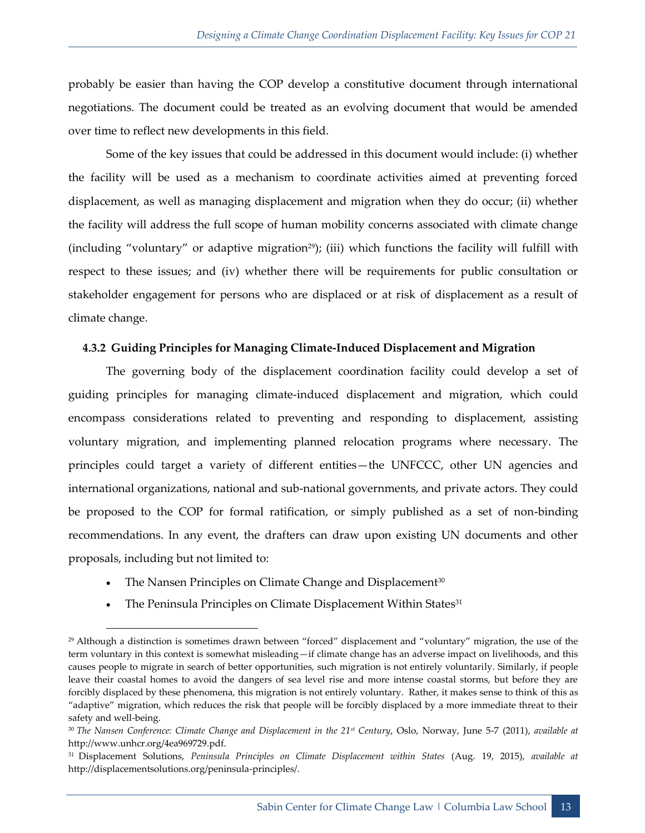probably be easier than having the COP develop a constitutive document through international negotiations. The document could be treated as an evolving document that would be amended over time to reflect new developments in this field.

Some of the key issues that could be addressed in this document would include: (i) whether the facility will be used as a mechanism to coordinate activities aimed at preventing forced displacement, as well as managing displacement and migration when they do occur; (ii) whether the facility will address the full scope of human mobility concerns associated with climate change (including "voluntary" or adaptive migration<sup>29</sup>); (iii) which functions the facility will fulfill with respect to these issues; and (iv) whether there will be requirements for public consultation or stakeholder engagement for persons who are displaced or at risk of displacement as a result of climate change.

#### **4.3.2 Guiding Principles for Managing Climate-Induced Displacement and Migration**

The governing body of the displacement coordination facility could develop a set of guiding principles for managing climate-induced displacement and migration, which could encompass considerations related to preventing and responding to displacement, assisting voluntary migration, and implementing planned relocation programs where necessary. The principles could target a variety of different entities—the UNFCCC, other UN agencies and international organizations, national and sub-national governments, and private actors. They could be proposed to the COP for formal ratification, or simply published as a set of non-binding recommendations. In any event, the drafters can draw upon existing UN documents and other proposals, including but not limited to:

• The Nansen Principles on Climate Change and Displacement<sup>30</sup>

-

The Peninsula Principles on Climate Displacement Within States<sup>31</sup>

 $29$  Although a distinction is sometimes drawn between "forced" displacement and "voluntary" migration, the use of the term voluntary in this context is somewhat misleading—if climate change has an adverse impact on livelihoods, and this causes people to migrate in search of better opportunities, such migration is not entirely voluntarily. Similarly, if people leave their coastal homes to avoid the dangers of sea level rise and more intense coastal storms, but before they are forcibly displaced by these phenomena, this migration is not entirely voluntary. Rather, it makes sense to think of this as "adaptive" migration, which reduces the risk that people will be forcibly displaced by a more immediate threat to their safety and well-being.

<sup>30</sup> *The Nansen Conference: Climate Change and Displacement in the 21st Century*, Oslo, Norway, June 5-7 (2011), *available at*  http://www.unhcr.org/4ea969729.pdf.

<sup>31</sup> Displacement Solutions, *Peninsula Principles on Climate Displacement within States* (Aug. 19, 2015), *available at* http://displacementsolutions.org/peninsula-principles/.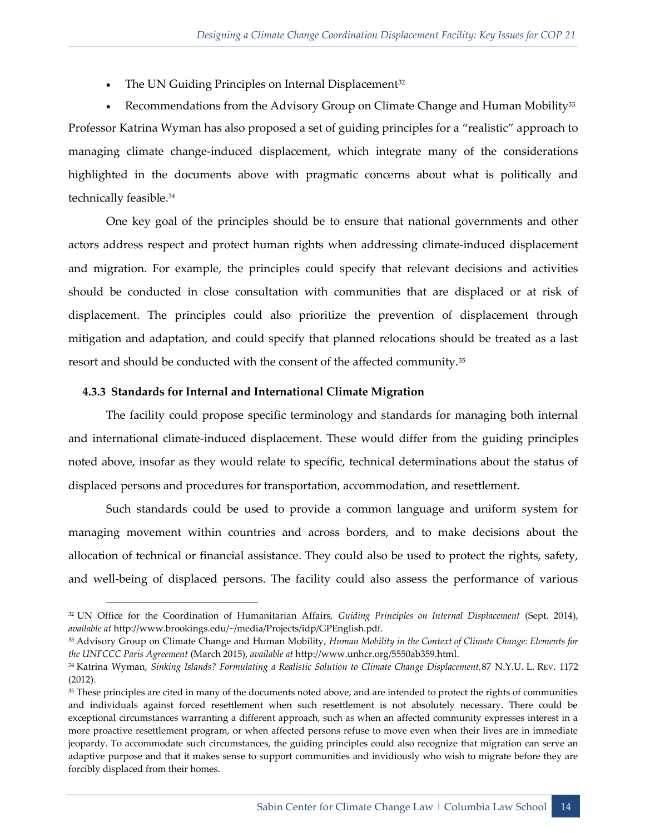$\bullet$  The UN Guiding Principles on Internal Displacement<sup>32</sup>

• Recommendations from the Advisory Group on Climate Change and Human Mobility<sup>33</sup> Professor Katrina Wyman has also proposed a set of guiding principles for a "realistic" approach to managing climate change-induced displacement, which integrate many of the considerations highlighted in the documents above with pragmatic concerns about what is politically and technically feasible.<sup>34</sup>

One key goal of the principles should be to ensure that national governments and other actors address respect and protect human rights when addressing climate-induced displacement and migration. For example, the principles could specify that relevant decisions and activities should be conducted in close consultation with communities that are displaced or at risk of displacement. The principles could also prioritize the prevention of displacement through mitigation and adaptation, and could specify that planned relocations should be treated as a last resort and should be conducted with the consent of the affected community.<sup>35</sup>

#### **4.3.3 Standards for Internal and International Climate Migration**

The facility could propose specific terminology and standards for managing both internal and international climate-induced displacement. These would differ from the guiding principles noted above, insofar as they would relate to specific, technical determinations about the status of displaced persons and procedures for transportation, accommodation, and resettlement.

Such standards could be used to provide a common language and uniform system for managing movement within countries and across borders, and to make decisions about the allocation of technical or financial assistance. They could also be used to protect the rights, safety, and well-being of displaced persons. The facility could also assess the performance of various

<sup>32</sup> UN Office for the Coordination of Humanitarian Affairs, *Guiding Principles on Internal Displacement* (Sept. 2014), *available at* http://www.brookings.edu/~/media/Projects/idp/GPEnglish.pdf.

<sup>33</sup> Advisory Group on Climate Change and Human Mobility, *Human Mobility in the Context of Climate Change: Elements for the UNFCCC Paris Agreement* (March 2015), *available at* http://www.unhcr.org/5550ab359.html.

<sup>34</sup> Katrina Wyman, *Sinking Islands? Formulating a Realistic Solution to Climate Change Displacement,*87 N.Y.U. L. REV. 1172 (2012).

<sup>&</sup>lt;sup>35</sup> These principles are cited in many of the documents noted above, and are intended to protect the rights of communities and individuals against forced resettlement when such resettlement is not absolutely necessary. There could be exceptional circumstances warranting a different approach, such as when an affected community expresses interest in a more proactive resettlement program, or when affected persons refuse to move even when their lives are in immediate jeopardy. To accommodate such circumstances, the guiding principles could also recognize that migration can serve an adaptive purpose and that it makes sense to support communities and invidiously who wish to migrate before they are forcibly displaced from their homes.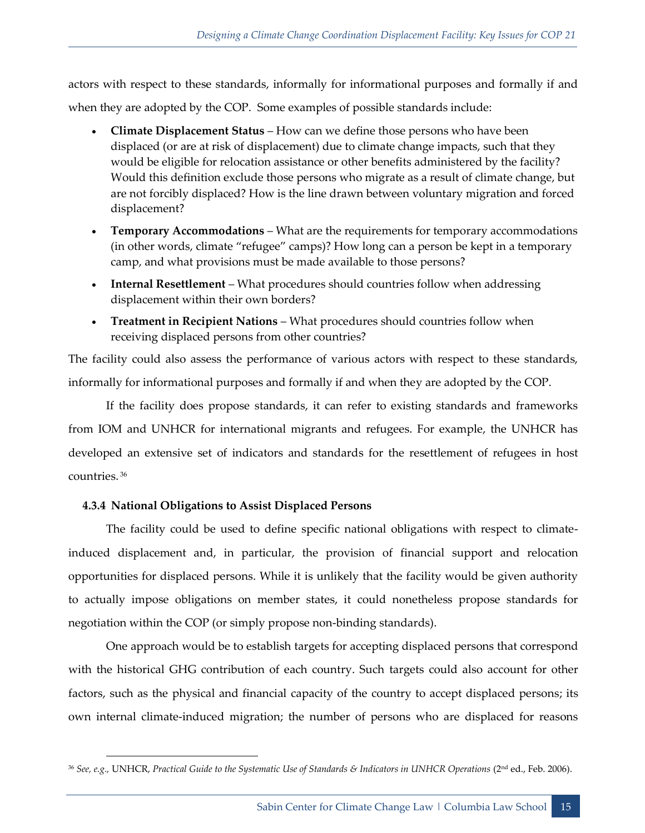actors with respect to these standards, informally for informational purposes and formally if and when they are adopted by the COP. Some examples of possible standards include:

- **Climate Displacement Status**  How can we define those persons who have been displaced (or are at risk of displacement) due to climate change impacts, such that they would be eligible for relocation assistance or other benefits administered by the facility? Would this definition exclude those persons who migrate as a result of climate change, but are not forcibly displaced? How is the line drawn between voluntary migration and forced displacement?
- **Temporary Accommodations**  What are the requirements for temporary accommodations (in other words, climate "refugee" camps)? How long can a person be kept in a temporary camp, and what provisions must be made available to those persons?
- **Internal Resettlement** What procedures should countries follow when addressing displacement within their own borders?
- **Treatment in Recipient Nations** What procedures should countries follow when receiving displaced persons from other countries?

The facility could also assess the performance of various actors with respect to these standards, informally for informational purposes and formally if and when they are adopted by the COP.

If the facility does propose standards, it can refer to existing standards and frameworks from IOM and UNHCR for international migrants and refugees. For example, the UNHCR has developed an extensive set of indicators and standards for the resettlement of refugees in host countries. <sup>36</sup>

#### **4.3.4 National Obligations to Assist Displaced Persons**

-

The facility could be used to define specific national obligations with respect to climateinduced displacement and, in particular, the provision of financial support and relocation opportunities for displaced persons. While it is unlikely that the facility would be given authority to actually impose obligations on member states, it could nonetheless propose standards for negotiation within the COP (or simply propose non-binding standards).

One approach would be to establish targets for accepting displaced persons that correspond with the historical GHG contribution of each country. Such targets could also account for other factors, such as the physical and financial capacity of the country to accept displaced persons; its own internal climate-induced migration; the number of persons who are displaced for reasons

<sup>36</sup> *See, e.g.,* UNHCR, *Practical Guide to the Systematic Use of Standards & Indicators in UNHCR Operations* (2nd ed., Feb. 2006).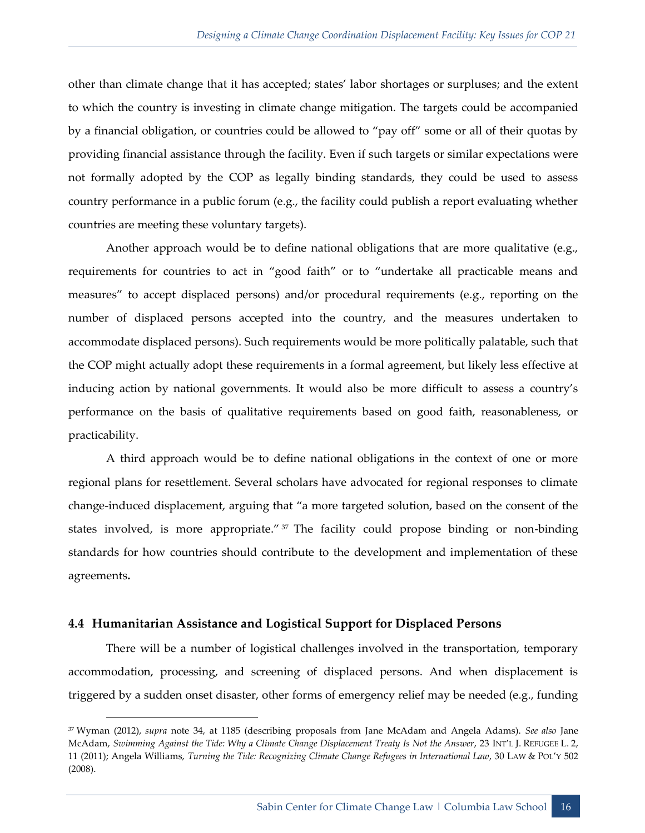other than climate change that it has accepted; states' labor shortages or surpluses; and the extent to which the country is investing in climate change mitigation. The targets could be accompanied by a financial obligation, or countries could be allowed to "pay off" some or all of their quotas by providing financial assistance through the facility. Even if such targets or similar expectations were not formally adopted by the COP as legally binding standards, they could be used to assess country performance in a public forum (e.g., the facility could publish a report evaluating whether countries are meeting these voluntary targets).

Another approach would be to define national obligations that are more qualitative (e.g., requirements for countries to act in "good faith" or to "undertake all practicable means and measures" to accept displaced persons) and/or procedural requirements (e.g., reporting on the number of displaced persons accepted into the country, and the measures undertaken to accommodate displaced persons). Such requirements would be more politically palatable, such that the COP might actually adopt these requirements in a formal agreement, but likely less effective at inducing action by national governments. It would also be more difficult to assess a country's performance on the basis of qualitative requirements based on good faith, reasonableness, or practicability.

A third approach would be to define national obligations in the context of one or more regional plans for resettlement. Several scholars have advocated for regional responses to climate change-induced displacement, arguing that "a more targeted solution, based on the consent of the states involved, is more appropriate." 37 The facility could propose binding or non-binding standards for how countries should contribute to the development and implementation of these agreements**.**

#### <span id="page-17-0"></span>**4.4 Humanitarian Assistance and Logistical Support for Displaced Persons**

There will be a number of logistical challenges involved in the transportation, temporary accommodation, processing, and screening of displaced persons. And when displacement is triggered by a sudden onset disaster, other forms of emergency relief may be needed (e.g., funding

<sup>37</sup> Wyman (2012), *supra* note 34, at 1185 (describing proposals from Jane McAdam and Angela Adams). *See also* Jane McAdam, *Swimming Against the Tide: Why a Climate Change Displacement Treaty Is Not the Answer*, 23 INT'L J. REFUGEE L. 2, 11 (2011); Angela Williams, *Turning the Tide: Recognizing Climate Change Refugees in International Law*, 30 LAW & POL'Y 502 (2008).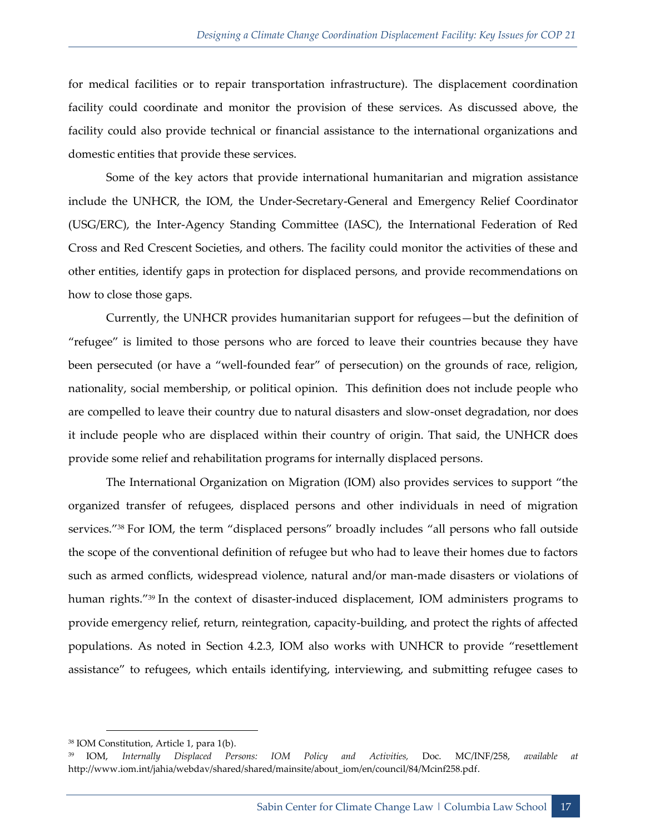for medical facilities or to repair transportation infrastructure). The displacement coordination facility could coordinate and monitor the provision of these services. As discussed above, the facility could also provide technical or financial assistance to the international organizations and domestic entities that provide these services.

Some of the key actors that provide international humanitarian and migration assistance include the UNHCR, the IOM, the Under-Secretary-General and Emergency Relief Coordinator (USG/ERC), the Inter-Agency Standing Committee (IASC), the International Federation of Red Cross and Red Crescent Societies, and others. The facility could monitor the activities of these and other entities, identify gaps in protection for displaced persons, and provide recommendations on how to close those gaps.

Currently, the UNHCR provides humanitarian support for refugees—but the definition of "refugee" is limited to those persons who are forced to leave their countries because they have been persecuted (or have a "well-founded fear" of persecution) on the grounds of race, religion, nationality, social membership, or political opinion. This definition does not include people who are compelled to leave their country due to natural disasters and slow-onset degradation, nor does it include people who are displaced within their country of origin. That said, the UNHCR does provide some relief and rehabilitation programs for internally displaced persons.

The International Organization on Migration (IOM) also provides services to support "the organized transfer of refugees, displaced persons and other individuals in need of migration services."<sup>38</sup> For IOM, the term "displaced persons" broadly includes "all persons who fall outside the scope of the conventional definition of refugee but who had to leave their homes due to factors such as armed conflicts, widespread violence, natural and/or man-made disasters or violations of human rights.<sup>"39</sup> In the context of disaster-induced displacement, IOM administers programs to provide emergency relief, return, reintegration, capacity-building, and protect the rights of affected populations. As noted in Section 4.2.3, IOM also works with UNHCR to provide "resettlement assistance" to refugees, which entails identifying, interviewing, and submitting refugee cases to

<sup>38</sup> IOM Constitution, Article 1, para 1(b).

<sup>39</sup> IOM, *Internally Displaced Persons: IOM Policy and Activities,* Doc. MC/INF/258, *available at*  http://www.iom.int/jahia/webdav/shared/shared/mainsite/about\_iom/en/council/84/Mcinf258.pdf.